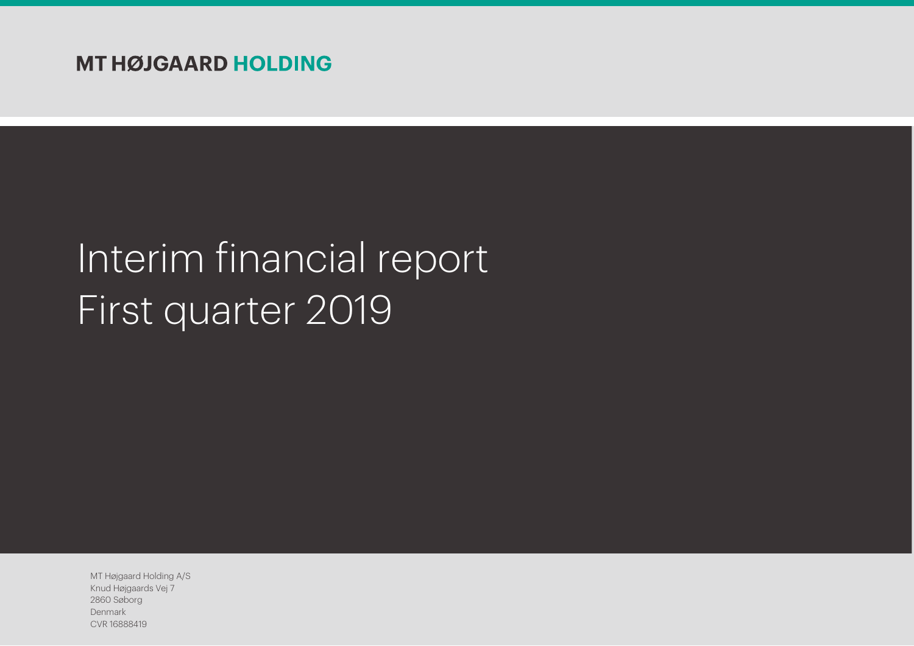# Interim financial report First quarter 2019

MT Højgaard Holding A/S Knud Højgaards Vej 7 2860 Søborg Denmark CVR 16888419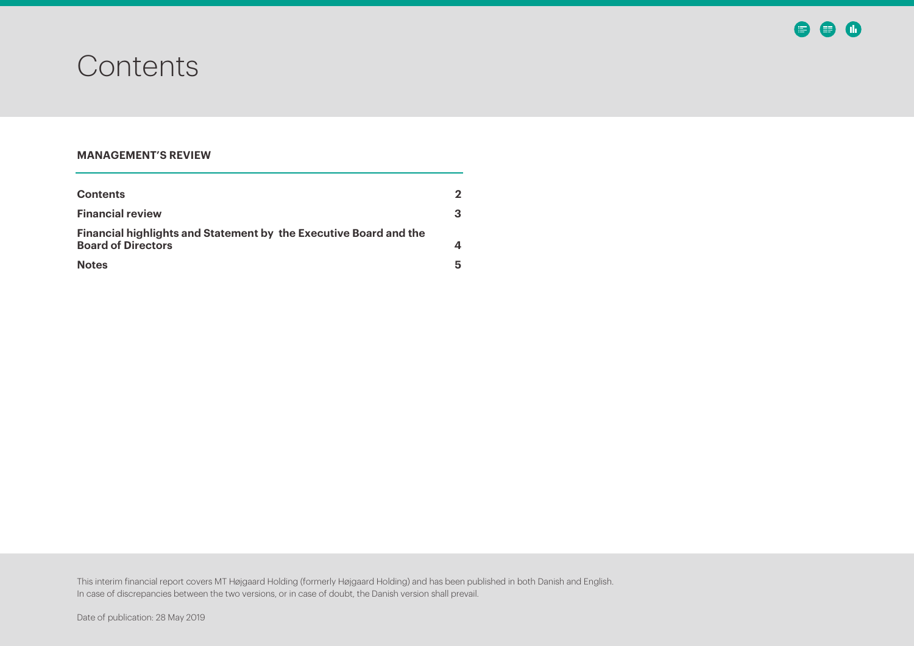### <span id="page-1-0"></span>**Contents**

### **MANAGEMENT'S REVIEW**

| <b>Contents</b>                                                                                       |   |
|-------------------------------------------------------------------------------------------------------|---|
| <b>Financial review</b>                                                                               |   |
| <b>Financial highlights and Statement by the Executive Board and the</b><br><b>Board of Directors</b> |   |
| <b>Notes</b>                                                                                          | h |

This interim financial report covers MT Højgaard Holding (formerly Højgaard Holding) and has been published in both Danish and English. In case of discrepancies between the two versions, or in case of doubt, the Danish version shall prevail.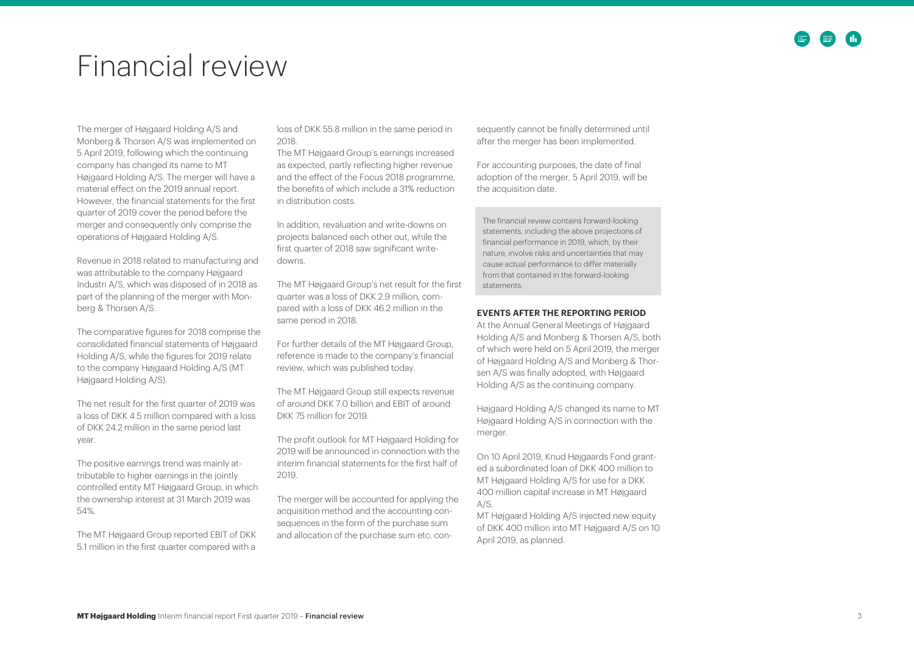### <span id="page-2-0"></span>Financial review

The merger of Højgaard Holding A/S and Monberg & Thorsen A/S was implemented on 5 April 2019, following which the continuing company has changed its name to MT Højgaard Holding A/S. The merger will have a material effect on the 2019 annual report. However, the financial statements for the first quarter of 2019 cover the period before the merger and consequently only comprise the operations of Højgaard Holding A/S.

Revenue in 2018 related to manufacturing and was attributable to the company Højgaard Industri A/S, which was disposed of in 2018 as part of the planning of the merger with Monberg & Thorsen A/S.

The comparative figures for 2018 comprise the consolidated financial statements of Højgaard Holding A/S, while the figures for 2019 relate to the company Højgaard Holding A/S (MT Højgaard Holding A/S).

The net result for the first quarter of 2019 was a loss of DKK 4.5 million compared with a loss of DKK 24.2 million in the same period last year.

The positive earnings trend was mainly attributable to higher earnings in the jointly controlled entity MT Højgaard Group, in which the ownership interest at 31 March 2019 was 54%.

The MT Højgaard Group reported EBIT of DKK 5.1 million in the first quarter compared with a

loss of DKK 55.8 million in the same period in 2018.

The MT Højgaard Group's earnings increased as expected, partly reflecting higher revenue and the effect of the Focus 2018 programme, the benefits of which include a 31% reduction in distribution costs.

In addition, revaluation and write -downs on projects balanced each other out, while the first quarter of 2018 saw significant write downs.

The MT Højgaard Group's net result for the first quarter was a loss of DKK 2.9 million, compared with a loss of DKK 46.2 million in the same period in 2018.

For further details of the MT Højgaard Group, reference is made to the company's financial review, which was published today.

The MT Højgaard Group still expects revenue of around DKK 7.0 billion and EBIT of around DKK 75 million for 2019.

The profit outlook for MT Højgaard Holding for 2019 will be announced in connection with the interim financial statements for the first half of 2019.

The merger will be accounted for applying the acquisition method and the accounting consequences in the form of the purchase sum and allocation of the purchase sum etc. consequently cannot be finally determined until after the merger has been implemented.

For accounting purposes, the date of final adoption of the merger, 5 April 2019, will be the acquisition date.

The financial review contains forward -looking statements, including the above projections of financial performance in 2019, which, by their nature, involve risks and uncertainties that may cause actual performance to differ materially from that contained in the forward -looking statements.

#### **EVENTS AFTER THE REPORTING PERIOD**

At the Annual General Meetings of Højgaard Holding A/S and Monberg & Thorsen A/S, both of which were held on 5 April 2019, the merger of Højgaard Holding A/S and Monberg & Thorsen A/S was finally adopted, with Højgaard Holding A/S as the continuing company.

Højgaard Holding A/S changed its name to MT Højgaard Holding A/S in connection with the merger.

On 10 April 2019, Knud Højgaards Fond granted a subordinated loan of DKK 400 million to MT Højgaard Holding A/S for use for a DKK 400 million capital increase in MT Højgaard A/S.

MT Højgaard Holding A/S injected new equity of DKK 400 million into MT Højgaard A/S on 10 April 2019, as planned.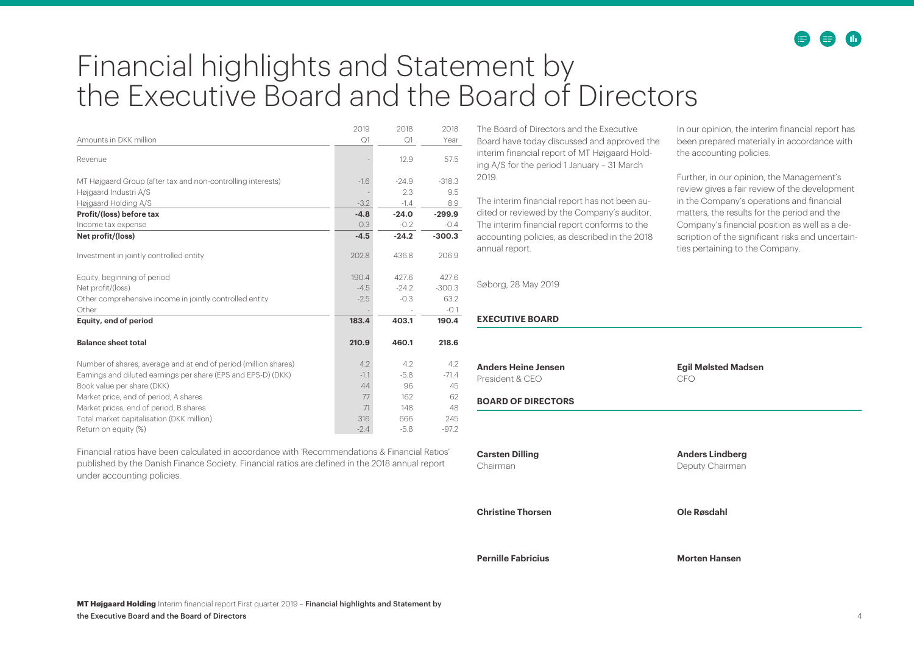## <span id="page-3-0"></span>Financial highlights and Statement by the Executive Board and the Board of Directors

|                                                                 | 2019   | 2018    | 2018     |
|-----------------------------------------------------------------|--------|---------|----------|
| Amounts in DKK million                                          | Q1     | Q1      | Year     |
| Revenue                                                         |        | 12.9    | 57.5     |
| MT Højgaard Group (after tax and non-controlling interests)     | $-1.6$ | $-24.9$ | $-318.3$ |
| Højgaard Industri A/S                                           |        | 2.3     | 9.5      |
| Højgaard Holding A/S                                            | $-3.2$ | $-1.4$  | 8.9      |
| Profit/(loss) before tax                                        | $-4.8$ | $-24.0$ | $-299.9$ |
| Income tax expense                                              | 0.3    | $-0.2$  | $-0.4$   |
| Net profit/(loss)                                               | $-4.5$ | $-24.2$ | $-300.3$ |
| Investment in jointly controlled entity                         | 202.8  | 436.8   | 206.9    |
| Equity, beginning of period                                     | 190.4  | 427.6   | 427.6    |
| Net profit/(loss)                                               | $-4.5$ | $-24.2$ | $-300.3$ |
| Other comprehensive income in jointly controlled entity         | $-2.5$ | $-0.3$  | 63.2     |
| Other                                                           |        |         | $-0.1$   |
| Equity, end of period                                           | 183.4  | 403.1   | 190.4    |
| <b>Balance sheet total</b>                                      | 210.9  | 460.1   | 218.6    |
| Number of shares, average and at end of period (million shares) | 4.2    | 4.2     | 4.2      |
| Earnings and diluted earnings per share (EPS and EPS-D) (DKK)   | $-1.1$ | $-5.8$  | $-71.4$  |
| Book value per share (DKK)                                      | 44     | 96      | 45       |
| Market price, end of period, A shares                           | 77     | 162     | 62       |
| Market prices, end of period, B shares                          | 71     | 148     | 48       |
| Total market capitalisation (DKK million)                       | 316    | 666     | 245      |
| Return on equity (%)                                            | $-2.4$ | $-5.8$  | $-97.2$  |

Financial ratios have been calculated in accordance with 'Recommendations & Financial Ratios' published by the Danish Finance Society. Financial ratios are defined in the 2018 annual report under accounting policies.

The Board of Directors and the Executive Board have today discussed and approved the interim financial report of MT Højgaard Holding A/S for the period 1 January – 31 March 2019.

The interim financial report has not been audited or reviewed by the Company's auditor. The interim financial report conforms to the accounting policies, as described in the 2018 annual report.

Søborg, 28 May 2019

#### **EXECUTIVE BOARD**

**Pernille Fabricius Morten Hansen**

In our opinion, the interim financial report has been prepared materially in accordance with the accounting policies.

Further, in our opinion, the Management's review gives a fair review of the development in the Company's operations and financial matters, the results for the period and the Company's financial position as well as a description of the significant risks and uncertainties pertaining to the Company.

| <b>Anders Heine Jensen</b><br>President & CEO | <b>Egil Mølsted Madsen</b><br>CFO         |
|-----------------------------------------------|-------------------------------------------|
| <b>BOARD OF DIRECTORS</b>                     |                                           |
|                                               |                                           |
| <b>Carsten Dilling</b><br>Chairman            | <b>Anders Lindberg</b><br>Deputy Chairman |
| <b>Christine Thorsen</b>                      | <b>Ole Røsdahl</b>                        |
|                                               |                                           |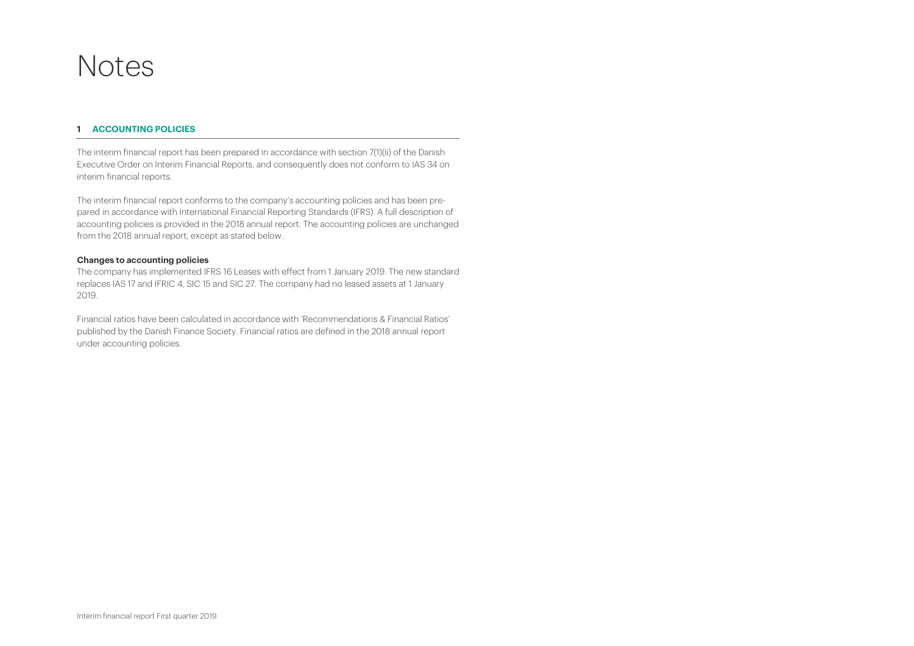### <span id="page-4-0"></span>Notes

#### **1 ACCOUNTING POLICIES**

The interim financial report has been prepared in accordance with section 7(1)(ii) of the Danish Executive Order on Interim Financial Reports, and consequently does not conform to IAS 34 on interim financial reports.

The interim financial report conforms to the company's accounting policies and has been prepared in accordance with International Financial Reporting Standards (IFRS). A full description of accounting policies is provided in the 2018 annual report. The accounting policies are unchanged from the 2018 annual report, except as stated below.

#### **Changes to accounting policies**

The company has implemented IFRS 16 Leases with effect from 1 January 2019. The new standard replaces IAS 17 and IFRIC 4, SIC 15 and SIC 27. The company had no leased assets at 1 January 2019.

Financial ratios have been calculated in accordance with 'Recommendations & Financial Ratios' published by the Danish Finance Society. Financial ratios are defined in the 2018 annual report under accounting policies.